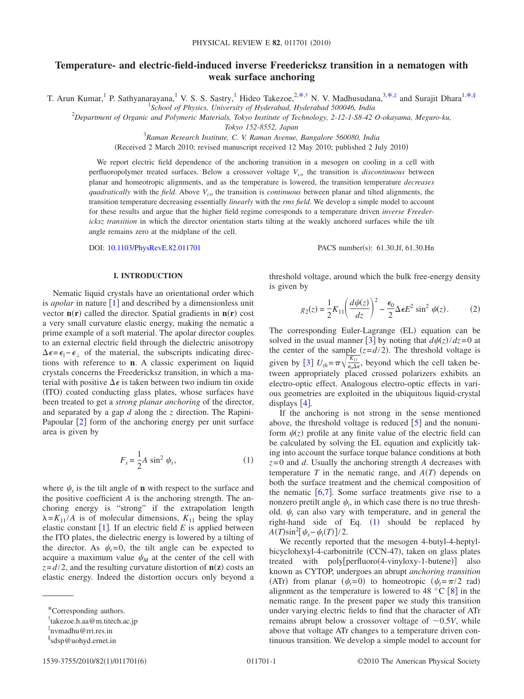# **Temperature- and electric-field-induced inverse Freedericksz transition in a nematogen with weak surface anchoring**

T. Arun Kumar,<sup>1</sup> P. Sathyanarayana,<sup>1</sup> V. S. S. Sastry,<sup>1</sup> Hideo Takezoe,<sup>2[,\\*,](#page-0-0)[†](#page-0-1)</sup> N. V. Madhusudana,<sup>3,\*,[‡](#page-0-2)</sup> and Surajit Dhara<sup>1[,\\*](#page-0-0)[,§](#page-0-3)</sup>

1 *School of Physics, University of Hyderabad, Hyderabad 500046, India*

2 *Department of Organic and Polymeric Materials, Tokyo Institute of Technology, 2-12-1-S8-42 O-okayama, Meguro-ku,*

*Tokyo 152-8552, Japan*

3 *Raman Research Institute, C. V. Raman Avenue, Bangalore 560080, India*

(Received 2 March 2010; revised manuscript received 12 May 2010; published 2 July 2010)

We report electric field dependence of the anchoring transition in a mesogen on cooling in a cell with perfluoropolymer treated surfaces. Below a crossover voltage  $V_{co}$  the transition is *discontinuous* between planar and homeotropic alignments, and as the temperature is lowered, the transition temperature *decreases quadratically* with the *field*. Above  $V_{co}$  the transition is *continuous* between planar and tilted alignments, the transition temperature decreasing essentially *linearly* with the *rms field*. We develop a simple model to account for these results and argue that the higher field regime corresponds to a temperature driven *inverse Freedericksz transition* in which the director orientation starts tilting at the weakly anchored surfaces while the tilt angle remains zero at the midplane of the cell.

DOI: [10.1103/PhysRevE.82.011701](http://dx.doi.org/10.1103/PhysRevE.82.011701)

PACS number(s): 61.30.Jf, 61.30.Hn

## **I. INTRODUCTION**

Nematic liquid crystals have an orientational order which is *apolar* in nature  $\lceil 1 \rceil$  $\lceil 1 \rceil$  $\lceil 1 \rceil$  and described by a dimensionless unit vector  $\mathbf{n}(\mathbf{r})$  called the director. Spatial gradients in  $\mathbf{n}(\mathbf{r})$  cost a very small curvature elastic energy, making the nematic a prime example of a soft material. The apolar director couples to an external electric field through the dielectric anisotropy  $\Delta \epsilon = \epsilon_{\parallel} - \epsilon_{\perp}$  of the material, the subscripts indicating directions with reference to **n**. A classic experiment on liquid crystals concerns the Freedericksz transition, in which a material with positive  $\Delta \epsilon$  is taken between two indium tin oxide (ITO) coated conducting glass plates, whose surfaces have been treated to get a *strong planar anchoring* of the director, and separated by a gap *d* along the *z* direction. The Rapini-Papoular  $\lceil 2 \rceil$  $\lceil 2 \rceil$  $\lceil 2 \rceil$  form of the anchoring energy per unit surface area is given by

$$
F_s = \frac{1}{2}A \sin^2 \psi_s, \qquad (1)
$$

<span id="page-0-4"></span>where  $\psi_s$  is the tilt angle of **n** with respect to the surface and the positive coefficient *A* is the anchoring strength. The anchoring energy is "strong" if the extrapolation length  $\lambda = K_{11}/A$  is of molecular dimensions,  $K_{11}$  being the splay elastic constant  $[1]$  $[1]$  $[1]$ . If an electric field  $E$  is applied between the ITO plates, the dielectric energy is lowered by a tilting of the director. As  $\psi_s = 0$ , the tilt angle can be expected to acquire a maximum value  $\psi_M$  at the center of the cell with  $z = d/2$ , and the resulting curvature distortion of  $n(z)$  costs and elastic energy. Indeed the distortion occurs only beyond a <span id="page-0-5"></span>threshold voltage, around which the bulk free-energy density is given by

$$
g_2(z) = \frac{1}{2} K_{11} \left( \frac{d\psi(z)}{dz} \right)^2 - \frac{\epsilon_0}{2} \Delta \epsilon E^2 \sin^2 \psi(z). \tag{2}
$$

The corresponding Euler-Lagrange (EL) equation can be solved in the usual manner [[3](#page-5-2)] by noting that  $d\psi(z)/dz = 0$  at the center of the sample  $(z = d/2)$ . The threshold voltage is given by [[3](#page-5-2)]  $U_{th} = \pi \sqrt{\frac{K_{11}}{\epsilon_0 \Delta \epsilon}}$ , beyond which the cell taken between appropriately placed crossed polarizers exhibits an electro-optic effect. Analogous electro-optic effects in various geometries are exploited in the ubiquitous liquid-crystal displays  $[4]$  $[4]$  $[4]$ .

If the anchoring is not strong in the sense mentioned above, the threshold voltage is reduced  $[5]$  $[5]$  $[5]$  and the nonuniform  $\psi(z)$  profile at any finite value of the electric field can be calculated by solving the EL equation and explicitly taking into account the surface torque balance conditions at both *z*=0 and *d*. Usually the anchoring strength *A* decreases with temperature  $T$  in the nematic range, and  $A(T)$  depends on both the surface treatment and the chemical composition of the nematic  $\lceil 6, 7 \rceil$  $\lceil 6, 7 \rceil$  $\lceil 6, 7 \rceil$  $\lceil 6, 7 \rceil$  $\lceil 6, 7 \rceil$ . Some surface treatments give rise to a nonzero pretilt angle  $\psi_t$ , in which case there is no true threshold.  $\psi_t$  can also vary with temperature, and in general the right-hand side of Eq.  $(1)$  $(1)$  $(1)$  should be replaced by  $A(T)\sin^2[\psi_s - \psi_t(T)]/2.$ 

We recently reported that the mesogen 4-butyl-4-heptylbicyclohexyl-4-carbonitrile (CCN-47), taken on glass plates treated with poly[perfluoro(4-vinyloxy-1-butene)] also known as CYTOP, undergoes an abrupt *anchoring transition* (ATr) from planar  $(\psi_t=0)$  to homeotropic  $(\psi_t=\pi/2 \text{ rad})$ alignment as the temperature is lowered to 4[8](#page-5-7)  $^{\circ}$ C [8] in the nematic range. In the present paper we study this transition under varying electric fields to find that the character of ATr remains abrupt below a crossover voltage of  $\sim 0.5V$ , while above that voltage ATr changes to a temperature driven continuous transition. We develop a simple model to account for

<span id="page-0-0"></span><sup>\*</sup>Corresponding authors.

<span id="page-0-1"></span><sup>†</sup> takezoe.h.aa@m.titech.ac.jp

<span id="page-0-2"></span><sup>‡</sup> nvmadhu@rri.res.in

<span id="page-0-3"></span><sup>§</sup> sdsp@uohyd.ernet.in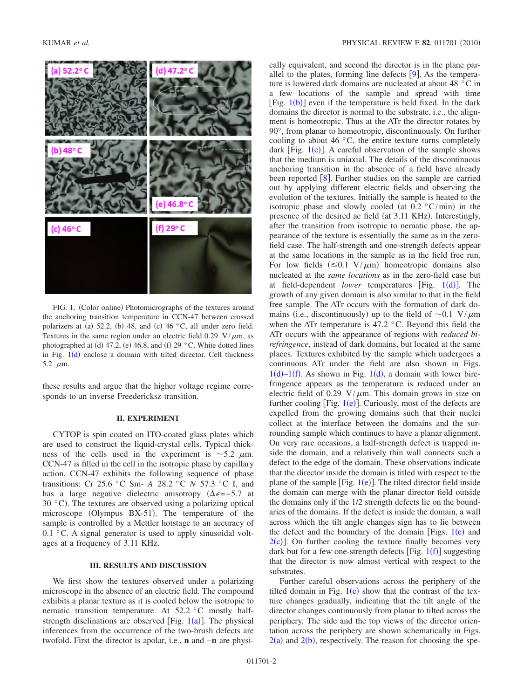<span id="page-1-0"></span>

FIG. 1. (Color online) Photomicrographs of the textures around the anchoring transition temperature in CCN-47 between crossed polarizers at (a) 52.2, (b) 48, and (c) 46  $\degree$ C, all under zero field. Textures in the same region under an electric field 0.29 V/ $\mu$ m, as photographed at (d) 47.2, (e) 46.8, and (f) 29 °C. White dotted lines in Fig.  $1(d)$  $1(d)$  enclose a domain with tilted director. Cell thickness 5.2  $\mu$ m.

these results and argue that the higher voltage regime corresponds to an inverse Freedericksz transition.

## **II. EXPERIMENT**

CYTOP is spin coated on ITO-coated glass plates which are used to construct the liquid-crystal cells. Typical thickness of the cells used in the experiment is  $\sim$ 5.2  $\mu$ m. CCN-47 is filled in the cell in the isotropic phase by capillary action. CCN-47 exhibits the following sequence of phase transitions: Cr 25.6 °C Sm- *A* 28.2 °C *N* 57.3 °C I, and has a large negative dielectric anisotropy  $(\Delta \epsilon = -5.7 \text{ at}$  $30 °C$ ). The textures are observed using a polarizing optical microscope (Olympus BX-51). The temperature of the sample is controlled by a Mettler hotstage to an accuracy of 0.1  $\degree$ C. A signal generator is used to apply sinusoidal voltages at a frequency of 3.11 KHz.

## **III. RESULTS AND DISCUSSION**

We first show the textures observed under a polarizing microscope in the absence of an electric field. The compound exhibits a planar texture as it is cooled below the isotropic to nematic transition temperature. At 52.2 °C mostly halfstrength disclinations are observed [Fig.  $1(a)$  $1(a)$ ]. The physical inferences from the occurrence of the two-brush defects are twofold. First the director is apolar, i.e., **n** and −**n** are physically equivalent, and second the director is in the plane parallel to the plates, forming line defects  $[9]$  $[9]$  $[9]$ . As the temperature is lowered dark domains are nucleated at about 48 °C in a few locations of the sample and spread with time [Fig.  $1(b)$  $1(b)$ ] even if the temperature is held fixed. In the dark domains the director is normal to the substrate, i.e., the alignment is homeotropic. Thus at the ATr the director rotates by 90°, from planar to homeotropic, discontinuously. On further cooling to about 46 °C, the entire texture turns completely dark [Fig.  $1(c)$  $1(c)$ ]. A careful observation of the sample shows that the medium is uniaxial. The details of the discontinuous anchoring transition in the absence of a field have already been reported  $[8]$  $[8]$  $[8]$ . Further studies on the sample are carried out by applying different electric fields and observing the evolution of the textures. Initially the sample is heated to the isotropic phase and slowly cooled (at  $0.2 \degree C/min$ ) in the presence of the desired ac field (at 3.11 KHz). Interestingly, after the transition from isotropic to nematic phase, the appearance of the texture is essentially the same as in the zerofield case. The half-strength and one-strength defects appear at the same locations in the sample as in the field free run. For low fields  $(\leq 0.1 \text{ V}/\mu\text{m})$  homeotropic domains also nucleated at the *same locations* as in the zero-field case but at field-dependent *lower* temperatures [Fig. [1](#page-1-0)(d)]. The growth of any given domain is also similar to that in the field free sample. The ATr occurs with the formation of dark domains (i.e., discontinuously) up to the field of  $\sim 0.1 \text{ V}/\mu\text{m}$ when the ATr temperature is 47.2 °C. Beyond this field the ATr occurs with the appearance of regions with *reduced birefringence*, instead of dark domains, but located at the same places. Textures exhibited by the sample which undergoes a continuous ATr under the field are also shown in Figs.  $1(d)-1(f)$  $1(d)-1(f)$ . As shown in Fig.  $1(d)$ , a domain with lower birefringence appears as the temperature is reduced under an electric field of 0.29 V/ $\mu$ m. This domain grows in size on further cooling [Fig.  $1(e)$  $1(e)$ ]. Curiously, most of the defects are expelled from the growing domains such that their nuclei collect at the interface between the domains and the surrounding sample which continues to have a planar alignment. On very rare occasions, a half-strength defect is trapped inside the domain, and a relatively thin wall connects such a defect to the edge of the domain. These observations indicate that the director inside the domain is titled with respect to the plane of the sample [Fig.  $1(e)$  $1(e)$ ]. The tilted director field inside the domain can merge with the planar director field outside the domains only if the 1/2 strength defects lie on the boundaries of the domains. If the defect is inside the domain, a wall across which the tilt angle changes sign has to lie between the defect and the boundary of the domain [Figs.  $1(e)$  $1(e)$  and  $2(c)$  $2(c)$ ]. On further cooling the texture finally becomes very dark but for a few one-strength defects [Fig.  $1(f)$  $1(f)$ ] suggesting that the director is now almost vertical with respect to the substrates.

Further careful observations across the periphery of the tilted domain in Fig.  $1(e)$  $1(e)$  show that the contrast of the texture changes gradually, indicating that the tilt angle of the director changes continuously from planar to tilted across the periphery. The side and the top views of the director orientation across the periphery are shown schematically in Figs.  $2(a)$  $2(a)$  and  $2(b)$ , respectively. The reason for choosing the spe-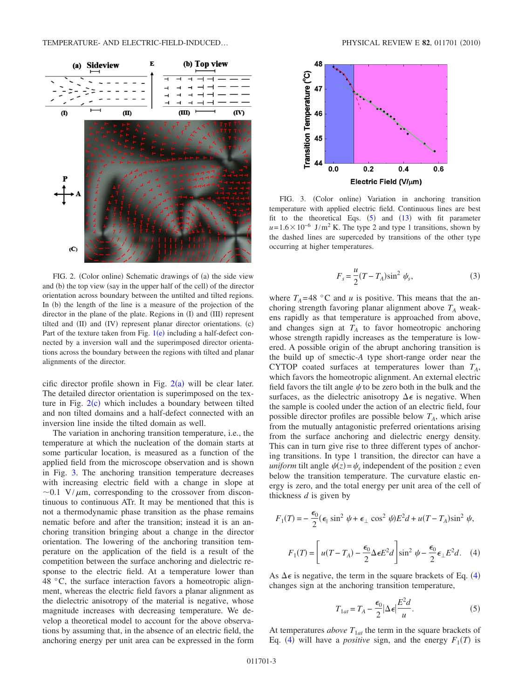<span id="page-2-0"></span>

FIG. 2. (Color online) Schematic drawings of (a) the side view and (b) the top view (say in the upper half of the cell) of the director orientation across boundary between the untilted and tilted regions. In (b) the length of the line is a measure of the projection of the director in the plane of the plate. Regions in (I) and (III) represent tilted and (II) and (IV) represent planar director orientations. (c) Part of the texture taken from Fig.  $1(e)$  $1(e)$  including a half-defect connected by a inversion wall and the superimposed director orientations across the boundary between the regions with tilted and planar alignments of the director.

cific director profile shown in Fig.  $2(a)$  $2(a)$  will be clear later. The detailed director orientation is superimposed on the texture in Fig.  $2(c)$  $2(c)$  which includes a boundary between tilted and non tilted domains and a half-defect connected with an inversion line inside the tilted domain as well.

The variation in anchoring transition temperature, i.e., the temperature at which the nucleation of the domain starts at some particular location, is measured as a function of the applied field from the microscope observation and is shown in Fig. [3.](#page-2-1) The anchoring transition temperature decreases with increasing electric field with a change in slope at  $\sim$ 0.1 V/ $\mu$ m, corresponding to the crossover from discontinuous to continuous ATr. It may be mentioned that this is not a thermodynamic phase transition as the phase remains nematic before and after the transition; instead it is an anchoring transition bringing about a change in the director orientation. The lowering of the anchoring transition temperature on the application of the field is a result of the competition between the surface anchoring and dielectric response to the electric field. At a temperature lower than 48 °C, the surface interaction favors a homeotropic alignment, whereas the electric field favors a planar alignment as the dielectric anisotropy of the material is negative, whose magnitude increases with decreasing temperature. We develop a theoretical model to account for the above observations by assuming that, in the absence of an electric field, the anchoring energy per unit area can be expressed in the form

<span id="page-2-1"></span>

FIG. 3. (Color online) Variation in anchoring transition temperature with applied electric field. Continuous lines are best fit to the theoretical Eqs.  $(5)$  $(5)$  $(5)$  and  $(13)$  $(13)$  $(13)$  with fit parameter  $u=1.6\times10^{-6}$  J/m<sup>2</sup> K. The type 2 and type 1 transitions, shown by the dashed lines are superceded by transitions of the other type occurring at higher temperatures.

$$
F_s = \frac{u}{2}(T - T_A)\sin^2\psi_s,\tag{3}
$$

<span id="page-2-4"></span>where  $T_A = 48$  °C and *u* is positive. This means that the anchoring strength favoring planar alignment above  $T_A$  weakens rapidly as that temperature is approached from above, and changes sign at  $T_A$  to favor homeotropic anchoring whose strength rapidly increases as the temperature is lowered. A possible origin of the abrupt anchoring transition is the build up of smectic-*A* type short-range order near the CYTOP coated surfaces at temperatures lower than  $T_A$ , which favors the homeotropic alignment. An external electric field favors the tilt angle  $\psi$  to be zero both in the bulk and the surfaces, as the dielectric anisotropy  $\Delta \epsilon$  is negative. When the sample is cooled under the action of an electric field, four possible director profiles are possible below  $T_A$ , which arise from the mutually antagonistic preferred orientations arising from the surface anchoring and dielectric energy density. This can in turn give rise to three different types of anchoring transitions. In type 1 transition, the director can have a *uniform* tilt angle  $\psi(z) = \psi_s$  independent of the position *z* even below the transition temperature. The curvature elastic energy is zero, and the total energy per unit area of the cell of thickness *d* is given by

<span id="page-2-2"></span>
$$
F_1(T) = -\frac{\epsilon_0}{2} (\epsilon_{\parallel} \sin^2 \psi + \epsilon_{\perp} \cos^2 \psi) E^2 d + u (T - T_A) \sin^2 \psi,
$$

$$
F_1(T) = \left[ u (T - T_A) - \frac{\epsilon_0}{2} \Delta \epsilon E^2 d \right] \sin^2 \psi - \frac{\epsilon_0}{2} \epsilon_{\perp} E^2 d. \quad (4)
$$

<span id="page-2-3"></span>As  $\Delta \epsilon$  is negative, the term in the square brackets of Eq. ([4](#page-2-2)) changes sign at the anchoring transition temperature,

$$
T_{1at} = T_A - \frac{\epsilon_0}{2} |\Delta \epsilon| \frac{E^2 d}{u}.
$$
 (5)

At temperatures *above*  $T_{1at}$  the term in the square brackets of Eq. ([4](#page-2-2)) will have a *positive* sign, and the energy  $F_1(T)$  is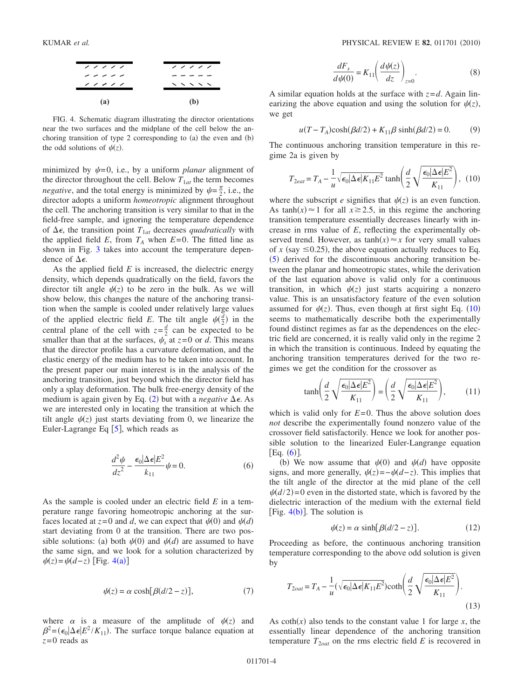<span id="page-3-1"></span>

FIG. 4. Schematic diagram illustrating the director orientations near the two surfaces and the midplane of the cell below the anchoring transition of type 2 corresponding to  $(a)$  the even and  $(b)$ the odd solutions of  $\psi(z)$ .

minimized by  $\psi = 0$ , i.e., by a uniform *planar* alignment of the director throughout the cell. Below  $T_{1at}$  the term becomes *negative*, and the total energy is minimized by  $\psi = \frac{\pi}{2}$ , i.e., the director adopts a uniform *homeotropic* alignment throughout the cell. The anchoring transition is very similar to that in the field-free sample, and ignoring the temperature dependence of  $\Delta \epsilon$ , the transition point  $T_{1at}$  decreases *quadratically* with the applied field  $E$ , from  $T_A$  when  $E=0$ . The fitted line as shown in Fig. [3](#page-2-1) takes into account the temperature dependence of  $\Delta \epsilon$ .

As the applied field *E* is increased, the dielectric energy density, which depends quadratically on the field, favors the director tilt angle  $\psi(z)$  to be zero in the bulk. As we will show below, this changes the nature of the anchoring transition when the sample is cooled under relatively large values of the applied electric field E. The tilt angle  $\psi(\frac{d}{2})$  in the central plane of the cell with  $z = \frac{d}{2}$  can be expected to be smaller than that at the surfaces,  $\psi_s$  at  $z=0$  or *d*. This means that the director profile has a curvature deformation, and the elastic energy of the medium has to be taken into account. In the present paper our main interest is in the analysis of the anchoring transition, just beyond which the director field has only a splay deformation. The bulk free-energy density of the medium is again given by Eq.  $(2)$  $(2)$  $(2)$  but with a *negative*  $\Delta \epsilon$ . As we are interested only in locating the transition at which the tilt angle  $\psi(z)$  just starts deviating from 0, we linearize the Euler-Lagrange Eq  $\lceil 5 \rceil$  $\lceil 5 \rceil$  $\lceil 5 \rceil$ , which reads as

$$
\frac{d^2\psi}{dz^2} - \frac{\epsilon_0|\Delta\epsilon|E^2}{k_{11}}\psi = 0.
$$
 (6)

<span id="page-3-3"></span>As the sample is cooled under an electric field *E* in a temperature range favoring homeotropic anchoring at the surfaces located at  $z=0$  and *d*, we can expect that  $\psi(0)$  and  $\psi(d)$ start deviating from 0 at the transition. There are two possible solutions: (a) both  $\psi(0)$  and  $\psi(d)$  are assumed to have the same sign, and we look for a solution characterized by  $\psi(z) = \psi(d-z)$  [Fig. [4](#page-3-1)(a)]

$$
\psi(z) = \alpha \cosh[\beta(d/2 - z)],\tag{7}
$$

where  $\alpha$  is a measure of the amplitude of  $\psi(z)$  and  $\beta^2 = (\epsilon_0 | \Delta \epsilon | E^2 / K_{11})$ . The surface torque balance equation at *z*=0 reads as

$$
\frac{dF_s}{d\psi(0)} = K_{11} \left( \frac{d\psi(z)}{dz} \right)_{z=0}.
$$
\n(8)

A similar equation holds at the surface with  $z = d$ . Again linearizing the above equation and using the solution for  $\psi(z)$ , we get

$$
u(T - T_A)\cosh(\beta d/2) + K_{11}\beta \sinh(\beta d/2) = 0.
$$
 (9)

The continuous anchoring transition temperature in this regime 2a is given by

<span id="page-3-2"></span>
$$
T_{2eat} = T_A - \frac{1}{u} \sqrt{\epsilon_0 |\Delta \epsilon| K_{11} E^2} \tanh\left(\frac{d}{2} \sqrt{\frac{\epsilon_0 |\Delta \epsilon| E^2}{K_{11}}}\right), (10)
$$

where the subscript *e* signifies that  $\psi(z)$  is an even function. As tanh $(x) \approx 1$  for all  $x \ge 2.5$ , in this regime the anchoring transition temperature essentially decreases linearly with increase in rms value of *E*, reflecting the experimentally observed trend. However, as  $\tanh(x) \approx x$  for very small values of *x* (say  $\leq$ 0.25), the above equation actually reduces to Eq.  $(5)$  $(5)$  $(5)$  derived for the discontinuous anchoring transition between the planar and homeotropic states, while the derivation of the last equation above is valid only for a continuous transition, in which  $\psi(z)$  just starts acquiring a nonzero value. This is an unsatisfactory feature of the even solution assumed for  $\psi(z)$ . Thus, even though at first sight Eq. ([10](#page-3-2)) seems to mathematically describe both the experimentally found distinct regimes as far as the dependences on the electric field are concerned, it is really valid only in the regime 2 in which the transition is continuous. Indeed by equating the anchoring transition temperatures derived for the two regimes we get the condition for the crossover as

$$
\tanh\left(\frac{d}{2}\sqrt{\frac{\epsilon_0|\Delta\epsilon|E^2}{K_{11}}}\right) = \left(\frac{d}{2}\sqrt{\frac{\epsilon_0|\Delta\epsilon|E^2}{K_{11}}}\right),\tag{11}
$$

which is valid only for  $E=0$ . Thus the above solution does *not* describe the experimentally found nonzero value of the crossover field satisfactorily. Hence we look for another possible solution to the linearized Euler-Langrange equation  $[Eq. (6)].$  $[Eq. (6)].$  $[Eq. (6)].$ 

(b) We now assume that  $\psi(0)$  and  $\psi(d)$  have opposite signs, and more generally,  $\psi(z) = -\psi(d-z)$ . This implies that the tilt angle of the director at the mid plane of the cell  $\psi(d/2)=0$  even in the distorted state, which is favored by the dielectric interaction of the medium with the external field [Fig.  $4(b)$  $4(b)$ ]. The solution is

$$
\psi(z) = \alpha \sinh[\beta(d/2 - z)].\tag{12}
$$

Proceeding as before, the continuous anchoring transition temperature corresponding to the above odd solution is given by

<span id="page-3-0"></span>
$$
T_{2out} = T_A - \frac{1}{u} (\sqrt{\epsilon_0 |\Delta \epsilon | K_{11} E^2}) \coth\left(\frac{d}{2} \sqrt{\frac{\epsilon_0 |\Delta \epsilon | E^2}{K_{11}}}\right).
$$
\n(13)

As  $\coth(x)$  also tends to the constant value 1 for large *x*, the essentially linear dependence of the anchoring transition temperature  $T_{2oat}$  on the rms electric field  $E$  is recovered in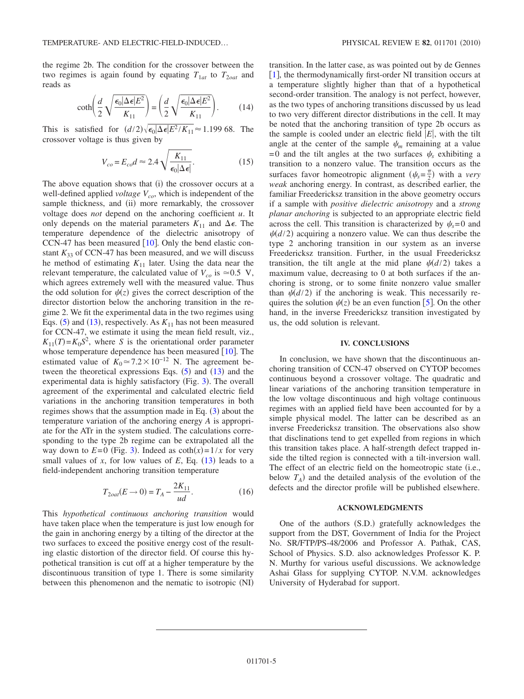the regime 2b. The condition for the crossover between the two regimes is again found by equating  $T_{1at}$  to  $T_{2out}$  and reads as

$$
\coth\left(\frac{d}{2}\sqrt{\frac{\epsilon_0|\Delta\epsilon|E^2}{K_{11}}}\right) = \left(\frac{d}{2}\sqrt{\frac{\epsilon_0|\Delta\epsilon|E^2}{K_{11}}}\right). \tag{14}
$$

This is satisfied for  $(d/2)\sqrt{\epsilon_0\Delta\epsilon|E^2/K_{11}} \approx 1.199$  68. The crossover voltage is thus given by

$$
V_{co} = E_{co} d \approx 2.4 \sqrt{\frac{K_{11}}{\epsilon_0 |\Delta \epsilon|}}.
$$
 (15)

The above equation shows that  $(i)$  the crossover occurs at a well-defined applied *voltage*  $V_{co}$ , which is independent of the sample thickness, and (ii) more remarkably, the crossover voltage does *not* depend on the anchoring coefficient *u*. It only depends on the material parameters  $K_{11}$  and  $\Delta \epsilon$ . The temperature dependence of the dielectric anisotropy of CCN-47 has been measured  $[10]$  $[10]$  $[10]$ . Only the bend elastic constant  $K_{33}$  of CCN-47 has been measured, and we will discuss he method of estimating  $K_{11}$  later. Using the data near the relevant temperature, the calculated value of  $V_{co}$  is  $\approx 0.5$  V, which agrees extremely well with the measured value. Thus the odd solution for  $\psi(z)$  gives the correct description of the director distortion below the anchoring transition in the regime 2. We fit the experimental data in the two regimes using Eqs. ([5](#page-2-3)) and ([13](#page-3-0)), respectively. As  $K_{11}$  has not been measured for CCN-47, we estimate it using the mean field result, viz.,  $K_{11}(T) = K_0 S^2$ , where *S* is the orientational order parameter whose temperature dependence has been measured  $[10]$  $[10]$  $[10]$ . The estimated value of  $K_0 \approx 7.2 \times 10^{-12}$  N. The agreement between the theoretical expressions Eqs.  $(5)$  $(5)$  $(5)$  and  $(13)$  $(13)$  $(13)$  and the experimental data is highly satisfactory (Fig. [3](#page-2-1)). The overall agreement of the experimental and calculated electric field variations in the anchoring transition temperatures in both regimes shows that the assumption made in Eq.  $(3)$  $(3)$  $(3)$  about the temperature variation of the anchoring energy *A* is appropriate for the ATr in the system studied. The calculations corresponding to the type 2b regime can be extrapolated all the way down to  $E=0$  (Fig. [3](#page-2-1)). Indeed as  $\coth(x)=1/x$  for very small values of  $x$ , for low values of  $E$ , Eq.  $(13)$  $(13)$  $(13)$  leads to a field-independent anchoring transition temperature

$$
T_{2out}(E \to 0) = T_A - \frac{2K_{11}}{ud}.
$$
 (16)

This *hypothetical continuous anchoring transition* would have taken place when the temperature is just low enough for the gain in anchoring energy by a tilting of the director at the two surfaces to exceed the positive energy cost of the resulting elastic distortion of the director field. Of course this hypothetical transition is cut off at a higher temperature by the discontinuous transition of type 1. There is some similarity between this phenomenon and the nematic to isotropic (NI)

transition. In the latter case, as was pointed out by de Gennes  $\lceil 1 \rceil$  $\lceil 1 \rceil$  $\lceil 1 \rceil$ , the thermodynamically first-order NI transition occurs at a temperature slightly higher than that of a hypothetical second-order transition. The analogy is not perfect, however, as the two types of anchoring transitions discussed by us lead to two very different director distributions in the cell. It may be noted that the anchoring transition of type 2b occurs as the sample is cooled under an electric field  $|E|$ , with the tilt angle at the center of the sample  $\psi_m$  remaining at a value =0 and the tilt angles at the two surfaces  $\psi_s$  exhibiting a transition to a nonzero value. The transition occurs as the surfaces favor homeotropic alignment  $(\psi_s = \frac{\pi}{2})$  with a *very weak* anchoring energy. In contrast, as described earlier, the familiar Freedericksz transition in the above geometry occurs if a sample with *positive dielectric anisotropy* and a *strong planar anchoring* is subjected to an appropriate electric field across the cell. This transition is characterized by  $\psi_s = 0$  and  $\psi(d/2)$  acquiring a nonzero value. We can thus describe the type 2 anchoring transition in our system as an inverse Freedericksz transition. Further, in the usual Freedericksz transition, the tilt angle at the mid plane  $\psi(d/2)$  takes a maximum value, decreasing to 0 at both surfaces if the anchoring is strong, or to some finite nonzero value smaller than  $\psi(d/2)$  if the anchoring is weak. This necessarily requires the solution  $\psi(z)$  be an even function [[5](#page-5-4)]. On the other hand, in the inverse Freedericksz transition investigated by us, the odd solution is relevant.

#### **IV. CONCLUSIONS**

In conclusion, we have shown that the discontinuous anchoring transition of CCN-47 observed on CYTOP becomes continuous beyond a crossover voltage. The quadratic and linear variations of the anchoring transition temperature in the low voltage discontinuous and high voltage continuous regimes with an applied field have been accounted for by a simple physical model. The latter can be described as an inverse Freedericksz transition. The observations also show that disclinations tend to get expelled from regions in which this transition takes place. A half-strength defect trapped inside the tilted region is connected with a tilt-inversion wall. The effect of an electric field on the homeotropic state (i.e., below  $T_A$ ) and the detailed analysis of the evolution of the defects and the director profile will be published elsewhere.

#### **ACKNOWLEDGMENTS**

One of the authors (S.D.) gratefully acknowledges the support from the DST, Government of India for the Project No. SR/FTP/PS-48/2006 and Professor A. Pathak, CAS, School of Physics. S.D. also acknowledges Professor K. P. N. Murthy for various useful discussions. We acknowledge Ashai Glass for supplying CYTOP. N.V.M. acknowledges University of Hyderabad for support.